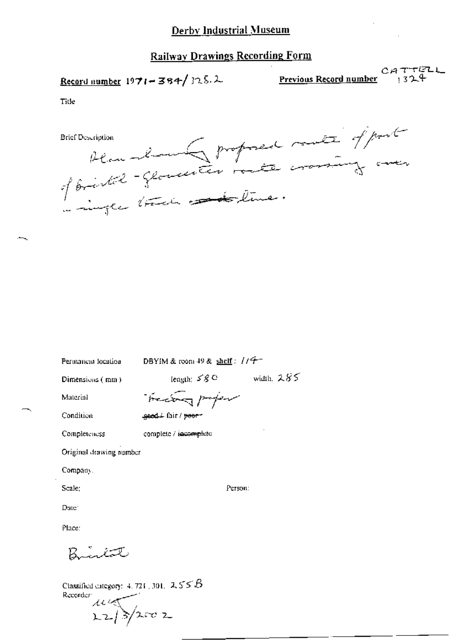## Record number  $1971 - 384/325.2$

 $CATTELL$ <br>1324 Previous Record number

Title

Plan Monder proposed mate of post

Permancia location

DBYIM & room 49 & shelf:  $1/7$ 

Dimensions (mm)

length:  $58^\circ$  width,  $285^\circ$ 

Material

Treating profer geed. fair / poor-

Condition

Completeness complete / incomplete

Original drawing number

Company.

Scale;

Person:

Date: Place:

لتصنفية

Classified category:  $4.721$ , 301,  $2.55B$ Recorder:  $\frac{1}{22}$  3/2002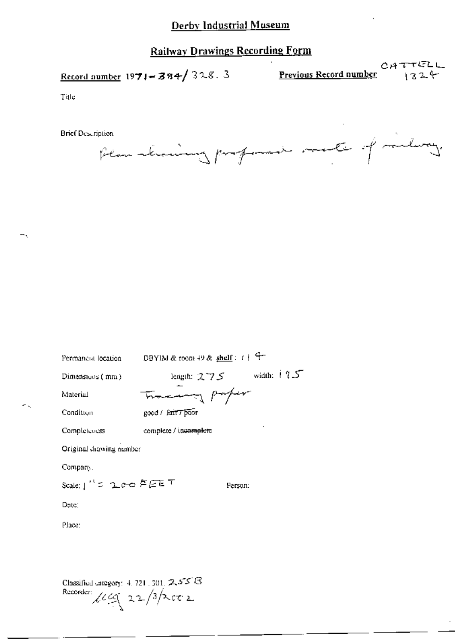## **Railway Drawings Recording Form**

CATTELL<br>Record number 1971-384/328.3 Previous Record number 1971-384/328.3

Title

**Brief Description** 

Plan straining professor mate of milway.

| Permanent location                                                                    | DBYIM & room 49 & shelf: $1 + \frac{q}{r}$ |  |  |
|---------------------------------------------------------------------------------------|--------------------------------------------|--|--|
| Dimensions (mm)                                                                       | length: $275$ width: $195$                 |  |  |
| Material                                                                              | Tracery paper                              |  |  |
| Condition                                                                             | good / fair 7 poor                         |  |  |
| Completeness                                                                          | complete / incomplete                      |  |  |
| Original drawing number                                                               |                                            |  |  |
| Company.                                                                              |                                            |  |  |
| Scale:」''ㄷ ပုဇ္ဇ 芦戸ET<br>Person:                                                      |                                            |  |  |
| Date:                                                                                 |                                            |  |  |
| Place:                                                                                |                                            |  |  |
|                                                                                       |                                            |  |  |
|                                                                                       |                                            |  |  |
| Classified category: $4.721 \pm 301.$ 2.55 $\%$<br>Recorder: $\log(22/3)\times c_0$ 2 |                                            |  |  |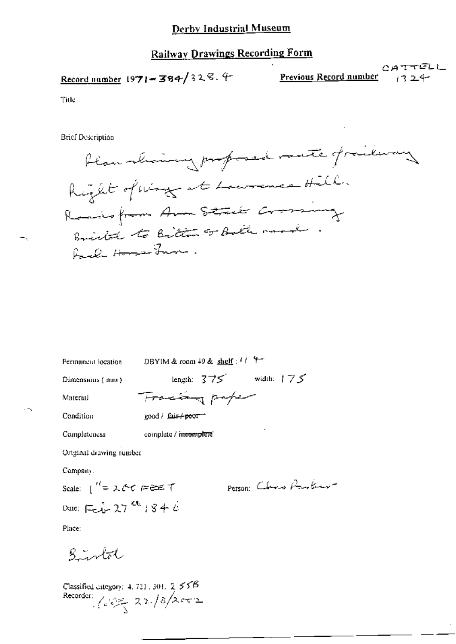CATTELL Previous Record number

Title

**Brief Description** 

blan showing proposed mate frailway Right of way at Lawrence Hill. Remains from Arm Stack Crossmany British to Bitten or Bath rand . RUD Home From.

Permaneut location DBYIM & room 49 & shelf:  $11 + 4$ 

Dimensions (mm)

length:  $375$  width:  $175$ Tracting paper

Material Condition

good / fair+poor

complete / incomplete Completeness

Original drawing number

Company.

Date:  $\Box x^2 - 27$ <sup>24</sup> + 3 + 6

Person Claro Protein

Place:

 $5$  intot

Classified category: 4, 721, 301,  $2 \leq 55B$ Recorder:  $\sqrt{22\sqrt{3}/2002}$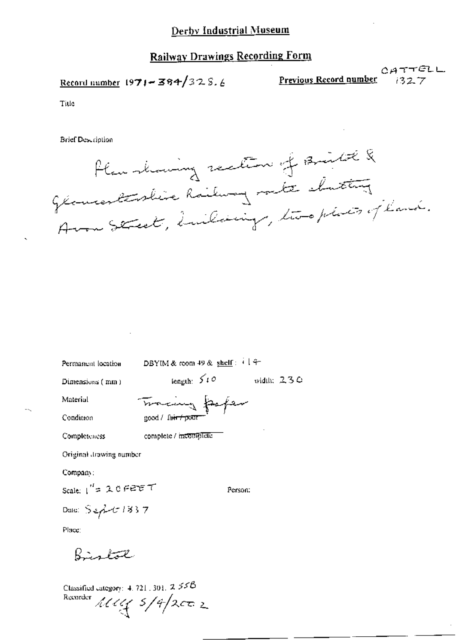Record number  $1971 - 384/325.6$ 

CATTELL Previous Record number

 $1327$ 

Title

**Brief Description** 



Permanent location

DBYIM & room 49 & shelf:  $\frac{12}{3}$ 

Dimensions (mm)

 $length: 510$ width:  $230$ 

Material Condition

 $\cdots$ 

Tracing poper good / fair / pour

complete / incomplete Completeness

Original drawing number

Company:

Scale:  $1'' = 20$  FEET

Date:  $S = \frac{\lambda}{2}$  1837

Person:

Place:

Bistol

Classified category: 4, 721, 301,  $2 \, \text{SIB}$ Recorder  $111/3/4/2002$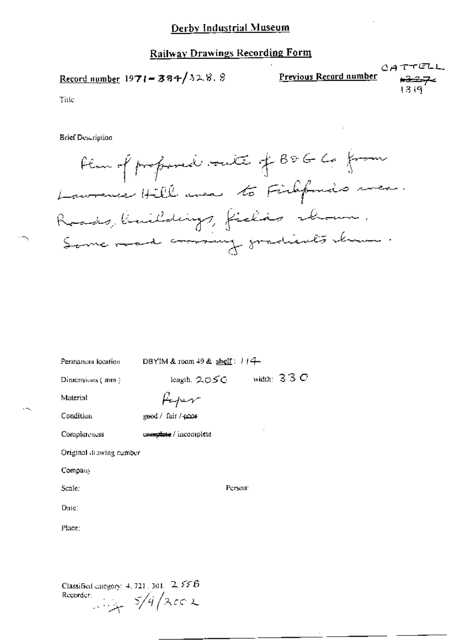## **Railway Drawings Recording Form**

$$
\underbrace{P \text{revious Record number}}_{13.9}
$$

Title

**Brief Description** 

Plus of profond voute of BDG Co from Laurence Hill aver to Firefonds men. Rasis, limildings, fields about. Same mad comming gradients chame.

| Permanent location                          | DBYIM & room $+9$ & shelf: $114-$                           |
|---------------------------------------------|-------------------------------------------------------------|
| Dimensions (mm)                             | width: $33C$<br>$length.~\mathcal{LOS} \subset \mathcal{A}$ |
| Material                                    | Kaper                                                       |
| Condition                                   | geed / fair /-poor                                          |
| Completeness                                | caraziote / incomplete                                      |
| Original drawing number                     |                                                             |
| Company                                     |                                                             |
| Scale:                                      | Person:                                                     |
| Date:                                       |                                                             |
| Place;                                      |                                                             |
|                                             |                                                             |
|                                             |                                                             |
| Classified category: $4, 721, 301, 2, 555B$ |                                                             |

Recorder:  $5/4/2002$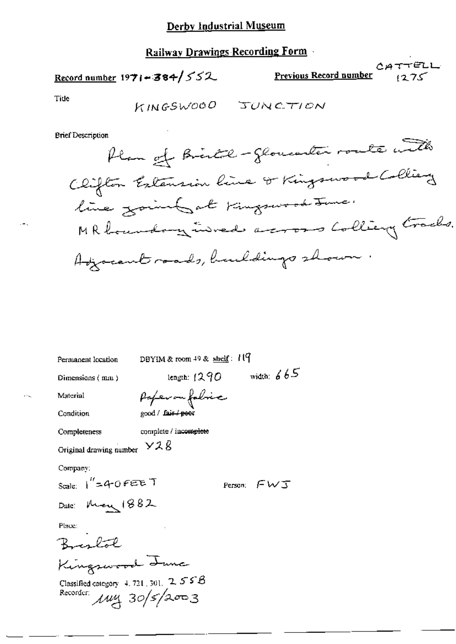## Record number  $1971 - 384 / 552$

 $CATTELL$ Previous Record number ک721

Tide

**Brief Description** 

| Permanent location                                             | DBYIM & room 49 & shelf: 119 |               |  |  |
|----------------------------------------------------------------|------------------------------|---------------|--|--|
| Dimensions (mm)                                                | lengih: 1290                 | width: $665$  |  |  |
| Material                                                       | Poferon folsic               |               |  |  |
| Condition                                                      | good / fair / poor           |               |  |  |
| Completeness                                                   | complete / incomplete        |               |  |  |
| Original drawing number $\times$ 2 $\beta$                     |                              |               |  |  |
| Company:                                                       |                              |               |  |  |
| scale: 1″=40FEET                                               |                              | Person: $FWJ$ |  |  |
| Date: More 1882                                                |                              |               |  |  |
| Place:                                                         |                              |               |  |  |
|                                                                |                              |               |  |  |
| Kingswood Junc                                                 |                              |               |  |  |
| Classified category 4, 721, 301, 2, 5 $S$ $\beta$<br>Recorder: | $\mu$ uy 30/5/2003           |               |  |  |

. ۔ .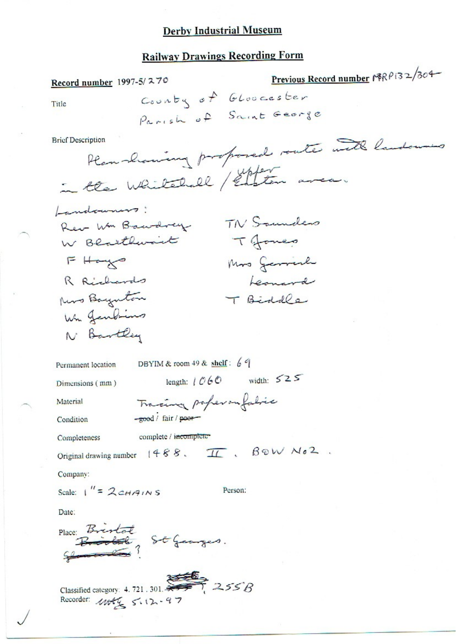## **Railway Drawings Recording Form**

Previous Record number 18RP132/304 Record number 1997-5/270 County of Gloocester Title Parish of Saint George Han showing proposed route with landowns **Brief Description** in the Whitehall / Enton area. Landowners: TN Saunders Rev Wm Bawdrey Tomes W Blarthwart  $F$  Hays Mos Gerrich R Richards Leonard Kers Baynton T Biddle Wh Jendins N Bartley DBYIM & room 49 & shelf: 69 Permanent location length:  $1060$  width:  $525$ Dimensions (mm) Tracing poperon fabric Material -good / fair / poor Condition complete / incomplete Completeness  $\pi$ . BOW NO2. Original drawing number  $(488)$ . Company: Scale:  $1'' = 2cHATNS$ Person: Date: Place: Bristol<br>Brooks St Georges. Classified category: 4.721.301.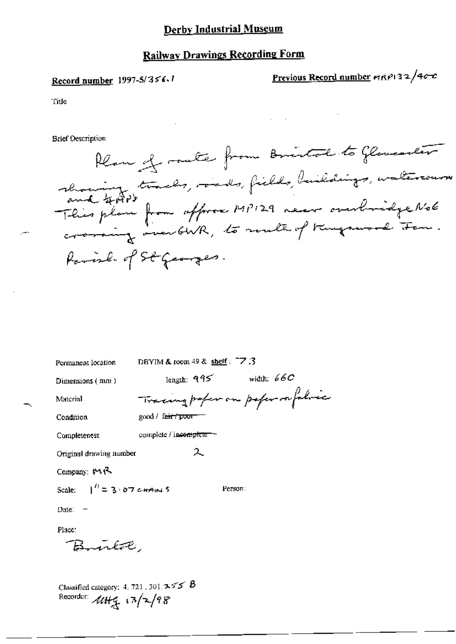## **Railway Drawings Recording Form**

## Record number 1997-5/356.1

Previous Record number mRP132/400

citle<sup>1</sup>

**Brief Description** 



| Permanent location                        | DBYIM & room $49$ & shelf: $77.3$      |  |  |  |  |
|-------------------------------------------|----------------------------------------|--|--|--|--|
| Dimensions (mm)                           | width: $\mathscr{C}C$<br>length: $995$ |  |  |  |  |
| Material                                  | Tracing poper on poper or folice       |  |  |  |  |
| Condition                                 | good / f <del>air / poor</del>         |  |  |  |  |
| Completeness                              | complete / incomplete - -              |  |  |  |  |
| ス<br>Original drawing number              |                                        |  |  |  |  |
| Company: MR                               |                                        |  |  |  |  |
| Scale: $1^{\prime\prime} = 3.67$ c-HAIN 5 | Person:                                |  |  |  |  |
| $Date: -$                                 |                                        |  |  |  |  |
| Place:                                    |                                        |  |  |  |  |
| Burlot,                                   |                                        |  |  |  |  |
|                                           |                                        |  |  |  |  |
|                                           |                                        |  |  |  |  |

Classified category: 4, 721, 301,  $\blacktriangleright$  5'  $\blacktriangleright$   $\blacktriangleright$ Recorder:  $444/4$   $(3/2/98)$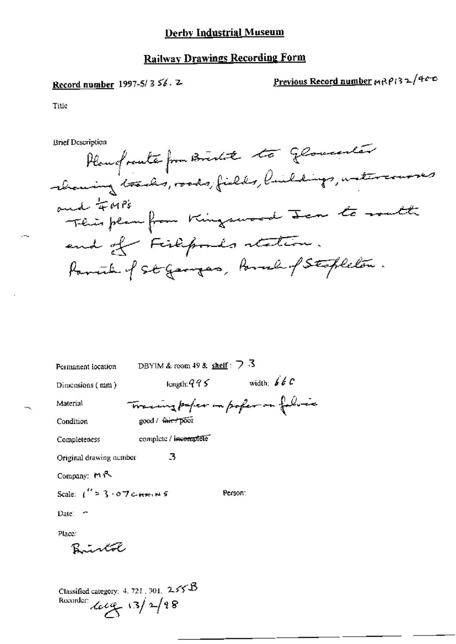## **Railway Drawings Recording Form**

## Record number 1997-5/356.2

Previous Record number MRP132/400

Title

**Brief Description** 

Planguate from Brista to Gloventer channing tracks, roads, fields, buildings, watercourses and FMPs This plan from Kingswood Jan to math end of Fishpoods station. Parish of St Gangas, Parish of Stopleton.

| Permanent location                       | DBYIM & room 49 & shelf: $\bigtriangledown$ 3 |                                     |
|------------------------------------------|-----------------------------------------------|-------------------------------------|
| Dimensions $(mn)$                        | length: $995$                                 | width: $\oint d^2C$                 |
| Material                                 |                                               | Tracing paper in poper on following |
| Condition                                | good / tair / poor                            |                                     |
| Completeness                             | complete / incomplete                         |                                     |
| Original drawing number                  | 3                                             |                                     |
| Company: $M \sim$                        |                                               |                                     |
| Scale: $1'' \geq 3.07$ comments          |                                               | Person:                             |
| Date: $\sim$                             |                                               |                                     |
| Place:                                   |                                               |                                     |
| Bintol                                   |                                               |                                     |
|                                          |                                               |                                     |
| Classified category: 4, 721, 301, $255B$ |                                               |                                     |
| Recorder: $\text{deg}(3)/2/18$           |                                               |                                     |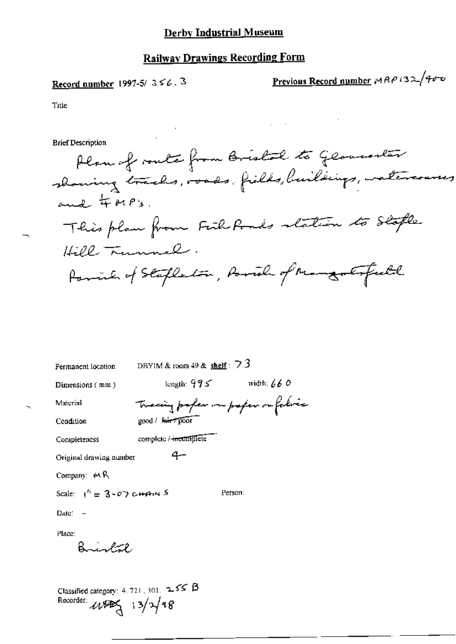$\sim 10^{-10}$ 

t.

## Record number 1997-5/ $3 \leq 6.3$

Previous Record number MRP 132/400

 $\ddot{\phantom{a}}$ 

 $\mathcal{L}^{\text{max}}(\mathcal{L}^{\text{max}})$ 

Title

 $\ddot{\phantom{0}}$ 

**Brief Description** 

| Permanent location                                                                 | DBYIM & room $49$ & shelf : $73$ |                                   |  |  |  |  |
|------------------------------------------------------------------------------------|----------------------------------|-----------------------------------|--|--|--|--|
| Dimensions (mm)                                                                    | length: $995$                    | width: $660$                      |  |  |  |  |
| Material                                                                           |                                  | Tracing profer on paper on falvis |  |  |  |  |
| Condition                                                                          | good / harr poor                 |                                   |  |  |  |  |
| Completeness                                                                       | complete / incomplete            |                                   |  |  |  |  |
| Original drawing number                                                            |                                  |                                   |  |  |  |  |
| Company: $M$ R                                                                     |                                  |                                   |  |  |  |  |
| Scale: $1'' = 3 - 07$ c+Ain 5                                                      |                                  | Person:                           |  |  |  |  |
| $\mathbf{Date}^* =$                                                                |                                  |                                   |  |  |  |  |
| Place:<br>Bright                                                                   |                                  |                                   |  |  |  |  |
| Classified category: 4, 721, 301, $\sim$ 55 $\beta$<br>Recorder:<br>$48$ $13/2/18$ |                                  |                                   |  |  |  |  |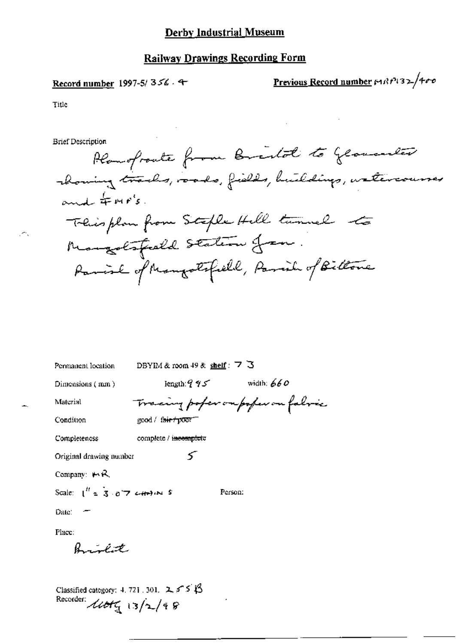#### Record number 1997-5/356.4

Previous Record number 191819132/400

Title

**Brief Description** 

Planofronte from Breakol to Gloventer showing tracks, roads, fields, buildings, watercourses and  $\#mer's$ . Their plan from Steple Hell turnel to Mangolsfield Station from. Parish of Mangolifield, Parish of Biltone

DBYIM & room 49 & shelf: 7 3 Permanent location

Dimensions (mm)

length:  $95$  width: 660

≤

Person:

Material

complete / incomplete

Tracing pofer ou poper on falmic

Condition

good / fair / poor "

Completeness

Original drawing number

Company:  $H \mathcal{R}$ 

Scale:  $I'' = 3.67$  catalog S

Place:

Date:

 $\beta$  in the state

Classified category: 4, 721, 301,  $2 \leq S \leq \beta$ Recorder:  $\mu$ ot $\frac{1}{4}$  13/2/48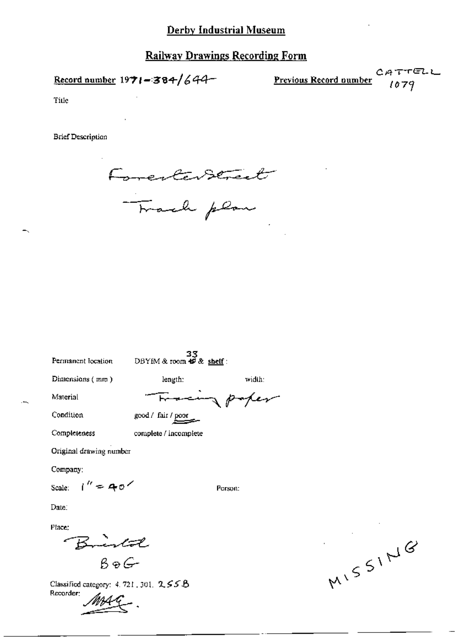## **Railway Drawings Recording Form**

Record number  $1971 - 384/644$ 

Previous Record number  $1079$ 

πεις

Title

**Brief Description** 



Permanent location

 $33$ <br>DBYIM & room  $49$  & shelf:

Dimensions (mm)

length:

Material Condition

Completeness

good / fair / poor

complete / incomplete

Original drawing number

Company:

Scale:  $1'' = 40$ 

Person:

width:

paper

Date:

Place;

Birtol  $B \odot G$ 

Classified category: 4, 721, 301, 2, 55 B Recorder:

MISSING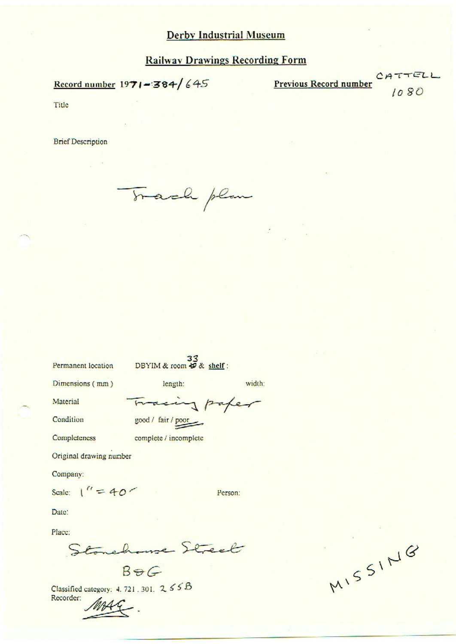Record number 1971-384/645

**Previous Record number** 

 $7TELL$ 1080

Title

**Brief Description** 

Track plan

Permanent location

DBYIM & room  $\frac{33}{5}$  shelf:

Dimensions (mm)

length:

width:

Person:

Condition

Material

Tracing paper good / fair / poor

Completeness

complete / incomplete

Original drawing number

Company:

Scale:  $1'' = 40$ 

Date:

Place:

Stonehouse Street

 $B = G$ 

Classified category: 4.721.301. 255B Recorder:

MISSING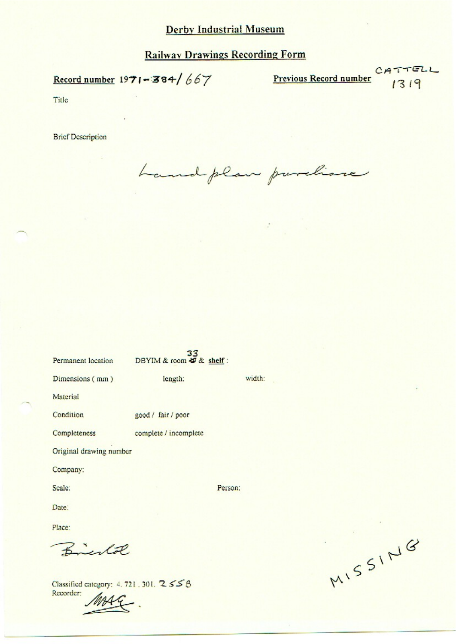## **Railway Drawings Recording Form**

# Record number  $1971 - 384/667$

Previous Record number CATTELL

Title

**Brief Description** 

Landplan purchase

| 33<br>DBYIM & room 49 & shelf: |         |
|--------------------------------|---------|
| length:                        | width:  |
|                                |         |
| good / fair / poor             |         |
| complete / incomplete          |         |
| Original drawing number        |         |
|                                |         |
|                                | Person: |
|                                |         |
|                                |         |
| $R_{\text{1}}$                 |         |
|                                |         |

Classified category: 4, 721, 301, 2 5 5 8 Recorder:

MISSING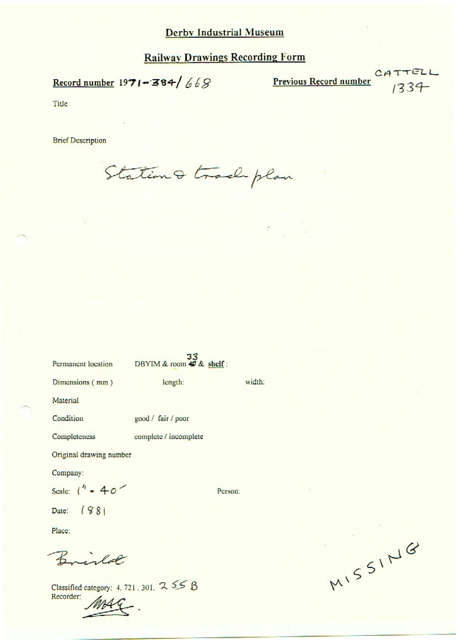Record number  $1971 - 384/668$ 

Previous Record number

CATTELL  $1334$ 

Title

Recorder:

**Brief Description** 

Station & trade plan

| Permanent location                        | DBYIM & room $\frac{33}{28}$ shelf: |         |        |
|-------------------------------------------|-------------------------------------|---------|--------|
| Dimensions (mm)                           | length:                             |         | width: |
| Material                                  |                                     |         |        |
| Condition                                 | good / fair / poor                  |         |        |
| Completeness                              | complete / incomplete               |         |        |
| Original drawing number                   |                                     |         |        |
| Company:                                  |                                     |         |        |
| Scale: $1^{4}$ = 40 <sup>-</sup>          |                                     | Person: |        |
| Date: ( $881$                             |                                     |         |        |
| Place:                                    |                                     |         |        |
| $R = -\lambda \sigma P$                   |                                     |         |        |
| Classified category: 4, 721, 301, 2, 55 B |                                     |         |        |

MISSING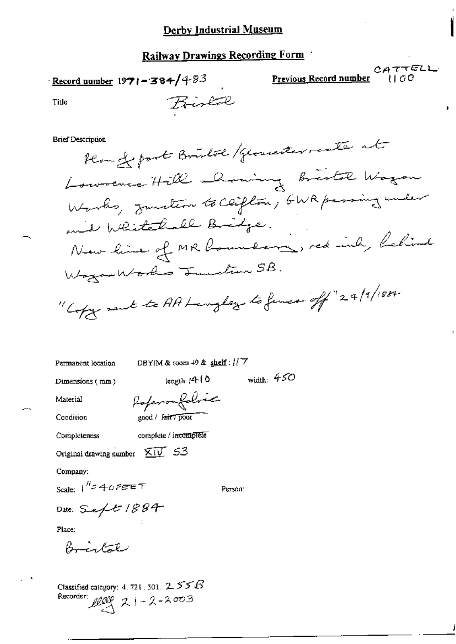Bistal

**Record number 1971 – 384/**483

Previous Record number

CATTELL {1 0 0

Title

#### **Brief Description**

Home front Bristol / Gloriester route at Lowrence Hill Doming bristol Wagon Wards, Junction to Ceiflow, GWR passing under and Whitelall Bridge. New line of MR boundary, red inh, believe Wagon Works Tunstion SB. "Copy sent to AA Langlay to fince off"24/1884.

Permanent location

DBYIM & toom  $+9$  & shelf:  $117$ 

Dimensions (mm)

 $length: 14.0$ 

width:  $450$ 

Condition

Material

Referenfolice good / fair7 poor

complete / incomplete Completeness

Original drawing number  $\overline{\text{XIV}}$  53

Company:

Scale:  $1^{\prime\prime}$  = 40 FEET

Person:

Date: Sept 1884

Place:

Bristal

Classified category: 4, 721, 301,  $2.55B$ Recorder:  $\text{angle}$  21 - 2 - 2003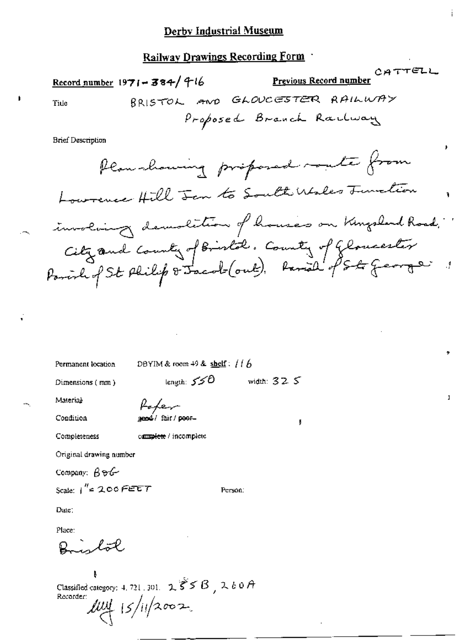## Railway Drawings Recording Form

CATTELL Previous Record number Record number  $1971 - 384/716$ BRISTOL AND GLOUCESTER RAILWAY Tide Proposed Branch Railway **Brief Description** 

Plan showing proposed mute from Lowrence Hill Jan to South Wales Junction involving demolition of houses on Kingsland Road. City and County of Bristol. County of Gloucester

Permanent location

DBYIM & room 49 & shelf:  $116$ 

Dimensions (mm)

length:  $550$ 

width:  $32.5$ 

ţ

 $\mathbf{I}$ 

Condition

Material

d / fair / poor=

complete / incomplete

faker

Completeness

Original drawing number

Company:  $\beta \partial \mathcal{L}$ 

Scale:  $1^{\prime\prime}$  = 200 FEET

Date:

Place:

inl<del>ol</del>

Classified category: 4, 721, 301,  $2 \xi \xi \beta$ ,  $260A$ Recorder:  $\mu$ uy 15/11/2002

Person: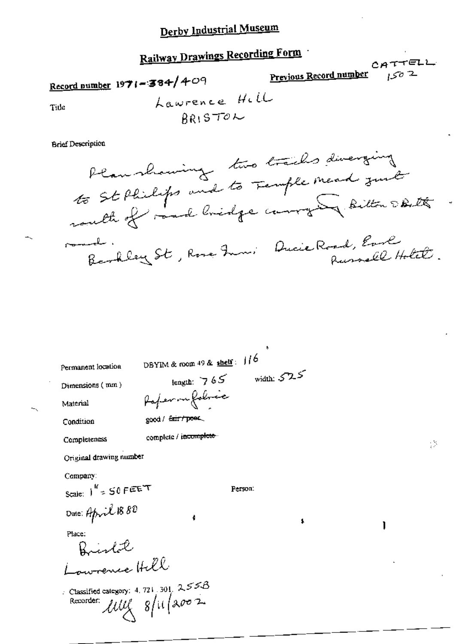# Railway Drawings Recording Form

CATTELL Previous Record number Record number  $1971 - 384/409$ Lawrence Hill Title **ARISTOL** 

#### **Brief Description**

Plan showing two tracks diverging to St Philips and to Femple mead just south of said bridge compter ditton Dartte Barkley St, Rose From: Ducie Road, Early . سامىيىسى Russell Hotel

DBYIM & room  $49$  & shelf:  $116$ Permanent location width:  $525$ length:  $765$ Dimensions (mm) Refermalabric Material good / fair/poet Condition complete / incomplete Completeness Original drawing number Company: Scale:  $1^{16}$  =  $50$  F EET Person: Date: April 1880 \$ ı Place: Bistil Lowrence Hill Classified category: 4, 721, 301,  $255B$ Recorder:  $\mu \nu \chi$   $8/\mu/\nu$ 

58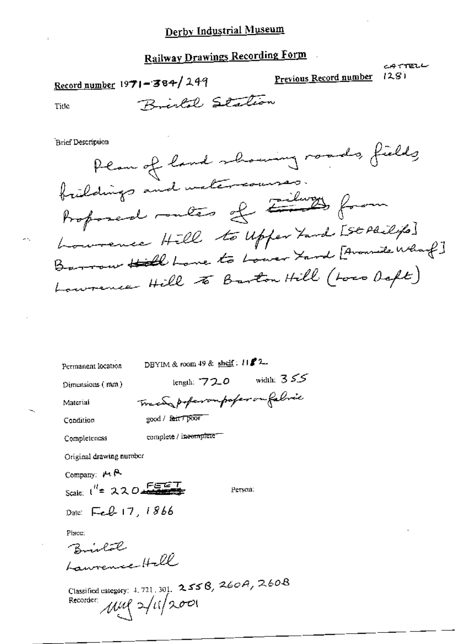Record number 1971-384/249

Previous Record number

ساره ۲۳۳۳ ول  $1281$ 

Title

Bristol Station

**Brief Description** 

Plan of land showing roads, fields frieddings and watercourses. Proposed meters of Emily from Lowrence Hill to Upper Fand [St Philips] Barrow Hill Love to Lower Yard [Avanuele Wharf] Lowrence Hill to Barton Hill (Loss Deft)

Permanent location

DBYIM & room 49 & shelf:  $1152$ -

Dimensions (mm)

length:  $720$  width:  $355$ Trace poperompofer on fabric

Condition

Material

good / fair / poor

complete / incomplete -

Completeness

Original drawing number

Company:  $M \uparrow$ 

Person:

Date: Feb 17, 1866

Scale:  $1^{H}$  = 220

Place:

Bishalak Laurence Hell

Classified category: 4, 721, 301.  $2556$ ,  $260A$ ,  $260B$ Recorder: Mul 2/11/2001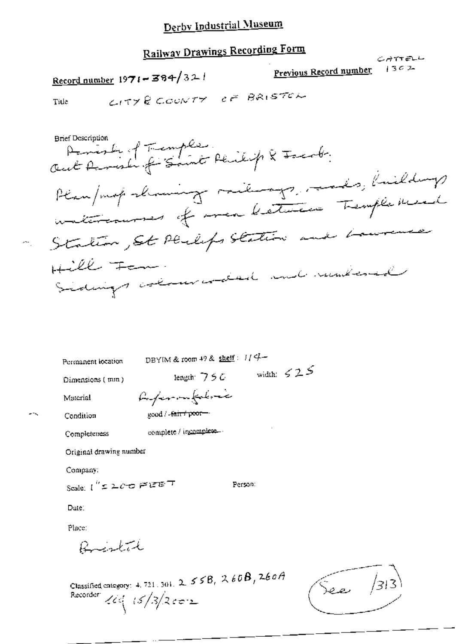# Railway Drawings Recording Form

CITY & COUNTY OF BRISTON

Record number  $1971 - 384/321$ 

Previous Record number

سابية 17 كان  $1302$ 

0.

Č.

Title

÷.

 $-1$ 

| Permanent location              | DBYIM & room 49 & shelf: $1/4-$                                               |         |                   |
|---------------------------------|-------------------------------------------------------------------------------|---------|-------------------|
| Dimensions (mm)                 | length $750$                                                                  |         | width: $\leq 2.5$ |
| Material                        | forfer inference                                                              |         |                   |
| Condition                       | good / fair / poor-                                                           |         |                   |
| Completeness                    | complete / incomplete.                                                        |         |                   |
| Original drawing number         |                                                                               |         |                   |
| Company:                        |                                                                               |         |                   |
| Scale: ( $''$ = 2000 Figure $T$ |                                                                               | Person: |                   |
| Date:                           |                                                                               |         |                   |
| Place:                          |                                                                               |         |                   |
| Rusta                           |                                                                               |         |                   |
| Recorder:                       | Classified category: 4, 721, 301, 2, $558$ , $266B$ , $266A$<br>$164/3/2$ con |         |                   |

See  $\int$ 313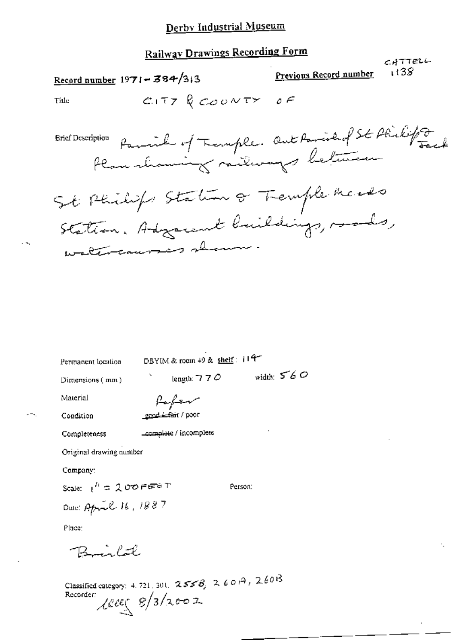# **Railway Drawings Recording Form**

CATTELL

Previous Record number 1138ء Record number  $1971 - 384/313$ CITY & COUNTY OF Title Parish of Temple. Out Parish of St Philips **Brief Description** Plan showing milways between St Philips Station of Tremple meads Station. Advancent buildings, roads, watercourses show

DBYIM & room 49 & shelf: 114-Permanent location length: 7 7  $\phi$  width: 5 6  $\phi$ Dimensions (mm)

Material

Paper gend Letair / poor

Condition Completeness

complete / incomplete

Original drawing number

Company:

Scale:  $t^h = 200$ PEPPT

Person:

Date: April 16, 1887

Place:

Classified category: 4, 721, 301,  $2556$ ,  $260\hat{A}$ ,  $260\hat{B}$ Recorder:  $\text{Res}(8/3/x002)$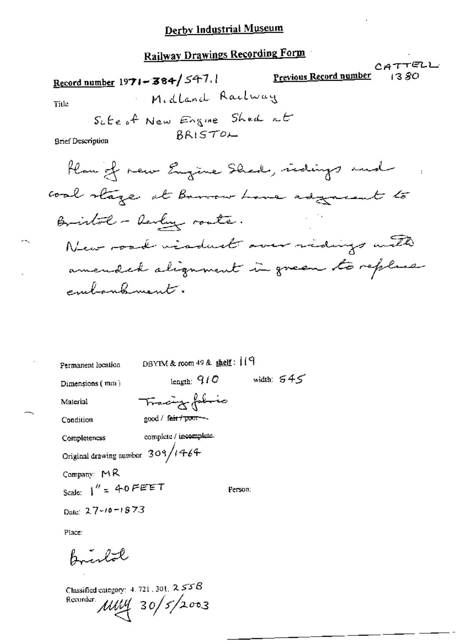# Railway Drawings Recording Form

|                                                     | CATTELU<br>Previous Record number<br>1380. |
|-----------------------------------------------------|--------------------------------------------|
| Record number 1971 - 384/547.1                      |                                            |
| Midland Railway<br>Title                            |                                            |
| Sute of New Engine Shed at                          |                                            |
| BRISTOL<br><b>Brief Description</b>                 |                                            |
| Flan of new Engine Shad, ridings and                |                                            |
| coal stage at Barrow Love adgressent to             |                                            |
| Bristol - Revly route.                              |                                            |
| New road visduct over ridings with                  |                                            |
| amended alignment in green to replace               |                                            |
| embankment.                                         |                                            |
|                                                     |                                            |
|                                                     |                                            |
|                                                     |                                            |
| DBYTM & room 49 & shelf : 119<br>Permanent location |                                            |
| length: $q/Q$<br>Dimensions (mm)                    | width: $545$                               |
| Tracing fabric<br>Material                          |                                            |
| good / fa <del>ir / poor -</del> -<br>Condition     |                                            |
| complete / incomplete.<br>Completeness              |                                            |
| Original drawing number $309/1464$                  |                                            |
| Company: MR                                         |                                            |
| Scale: $1'' = 40$ FEET<br>Person:                   |                                            |

Date:  $27 - 10 = 1873$ 

Place:

жų

Bristol

Classified category: 4, 721, 301,  $2558$ Recorder  $MUV$  30/5/2003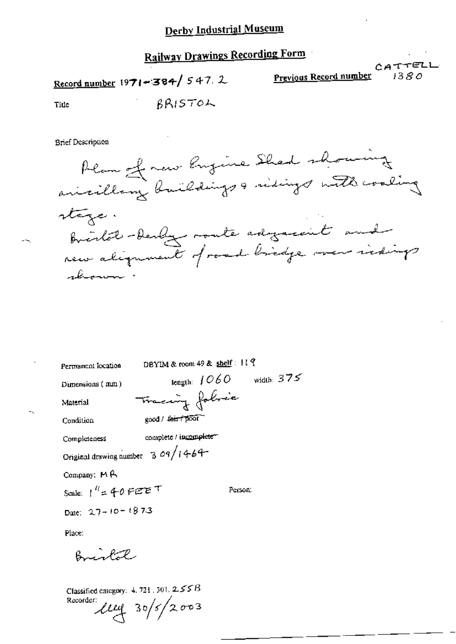Record number 1971-384/547.2

Previous Record number

CATTELL

Title

BRISTOL

**Brief Description** 



Permanent location

DBYIM & room 49 & shelf: 119

length:  $1060$  width:  $375$ 

Dimensions (mm)

Material

Tracing folice good / fair / poor Condition

complete / incomplete-Completeness

Original drawing number  $3.09/1464$ 

Company: MA

Scale:  $1^{\prime\prime}$  = 40 FEET Person:

Date:  $27 - 10 = 1873$ 

Place:

Bright

Classified category:  $4.721$ , 301,  $2.55B$  $\mu$ uq 30/5/2003 Recorder: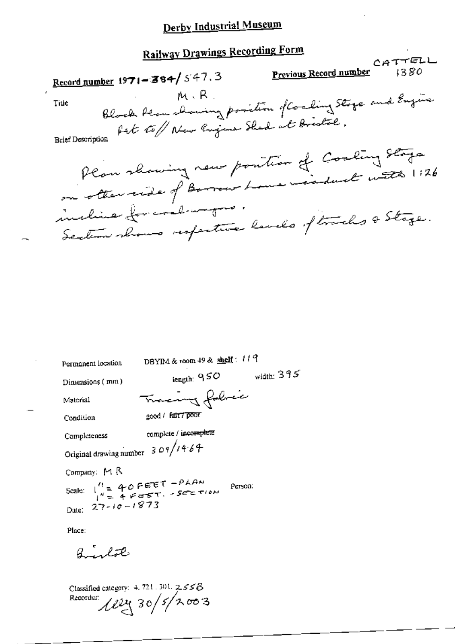# **Railway Drawings Recording Form**

| INALLY 41 PARTIES                                                                             |         |  |
|-----------------------------------------------------------------------------------------------|---------|--|
| Record number 1971-384/547.3                                                                  | CATTELL |  |
| Title $m \times R$ .                                                                          |         |  |
| Blook flom showing position of Coaling Stage and Engine                                       |         |  |
| Plan showing new position of Cooling Stage<br>on otten ride of Borrow Love - induct with 1:26 |         |  |
| incline forconductors.<br>Section shows respective lavels of tracks a Stage.                  |         |  |
|                                                                                               |         |  |

DBYIM & room 49 & shelf: 119 Permanent location length:  $950$  width:  $395$ Dimensions (mm) Tracing folice Material good / Entry proof Condition complete / incomplete Completeness Original drawing number  $309/14.64$ Company: MR Scale:  $\begin{array}{c} 1' = 40 \text{ FET} - PAAM \\ 1'' = 4 FETT - SETET~(0) \end{array}$ Person: Date:  $27 - 10 - 1873$ Place:

Birlot

Classified category:  $4, 721, 301, 2, 55B$ Recorder:  $122430/5/7003$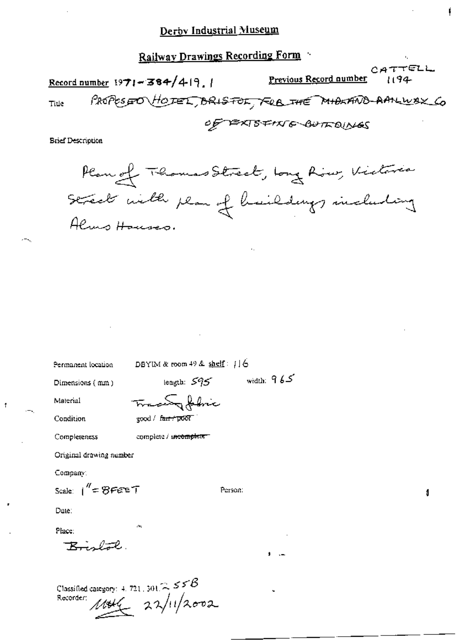## Railway Drawings Recording Form CATTELL Previous Record number Record number  $1971 - 384/419$ .  $1194$ PROPESSOO HOTEL, BRISTOL, FRE THE MIDIAND-AANLIVAX CO Title OF PEXISFING BUTTOUNES **Brief Description**

Plan of Thomas Street, Long Row, Victoria Street with plan of haildings including Almo Houses.

Permanent location

DBYIM & room 49 & shelf : 116

Dimensions (mm)

length:  $595$  width:  $965$ 

Material Condition

<del>TraceSy febric</del>  $good / for f$  pool

Completeness

complete / incomplete

Original drawing number

Company:

Scale:  $1'' = 8$ FEET

Person:

Date:

Place:

Brislack.

Classified category: 4, 721, 301  $\approx$  5 5  $\beta$  $rac{1}{4}$  22/11/2002 Recorder:

1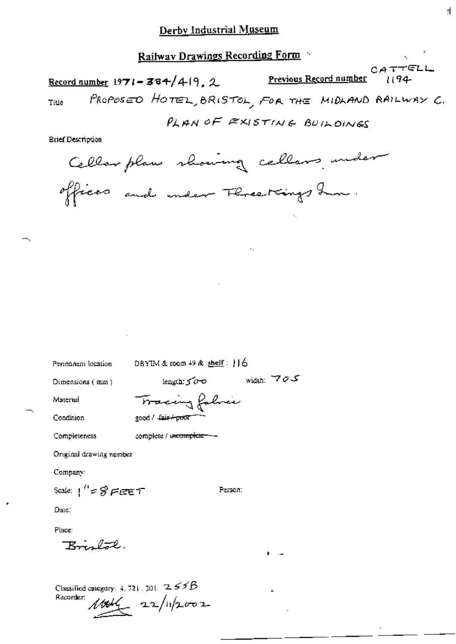## Railway Drawings Recording Form CATTELL Previous Record number Record number 1971-384/419.2  $1194 -$ PROPOSED HOTEL, BRISTOL, FOR THE MIDLAND RAILWAY C. Title PLAN OF EXISTING BUILDINGS **Brief Description** Cellar plan showing cellars under

width:  $70-$ 

offices and under Florestings him.

Permanent location

DBYIM & room  $49$  & shelf:  $16$ 

Person:

Dimensions (mm)

length:  $500$ 

complete / uscomplete - -

Material

Condition

Tracing falmie good / fair+poor

Completeness

Original drawing number

Company:

Scale:  $1'' = 8$  FIZET

Date:

Place:

Knalal.

Classified category:  $4, 721, 301, 2, 555B$ Recorder:  $10046 - 22/112002$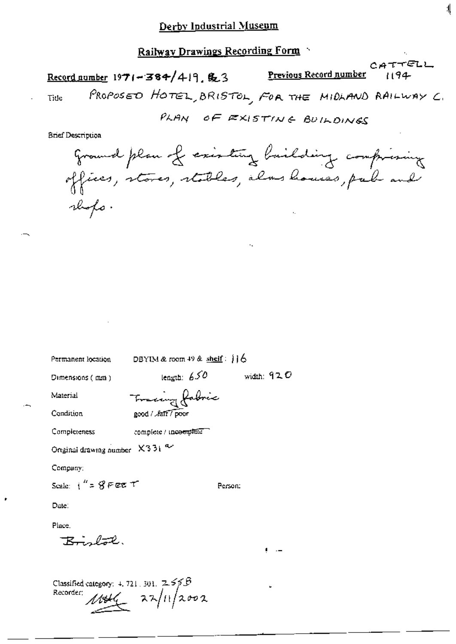$CATTELL$ Previous Record number Record number  $1971 - 384/419$ , \$23 PROPOSED HOTEL, BRISTOL, FOR THE MIDLAND RAILWAY C. Tide PLAN OF EXISTING BUILDINGS **Brief Description** ground plan of existing building comprising offices, stores, stables, alms houses, pub and rhops.

Permanent location DBYIM & room 49 & shelf:  $16$ length:  $650$ width: 92  $\bm{\mathcal{O}}$ Dimensions (mm) Fraccing fabric Material Condition good / Jair / poor Completeness complete / incomplete Original drawing number X331 a Company: Scale:  $i'' = R$  Fee  $T$ Person: Date: Place.

 $R = \sqrt{2}$ 

Classified category:  $4.721.301.$   $2.55B$  $\frac{1}{4}$   $\frac{1}{4}$   $\frac{1}{4}$   $\frac{1}{4}$   $\frac{1}{4}$   $\frac{1}{4}$   $\frac{1}{4}$ Recorder: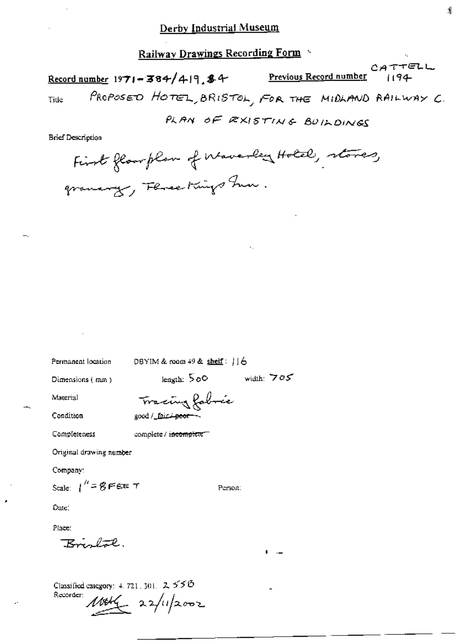$CATTELL$ Previous Record number Record number  $1971 - 384/4.19$ , \$4 PROPOSED HOTEL, BRISTOL, FOR THE MIDLAND RAILWAY C. Title PLAN OF EXISTING BUILDINGS

**Brief Description** 

Permanent location

DBYIM & room  $+9$  & shelf:  $| \cdot |$  6

Dimensions (mm)

leagth:  $500$ width:  $705$ 

Person:

Material

Condition

Tracing fabric good / fair + peor -

Completeness

complete / incomplete

Original drawing number

Company:

Scale:  $1^h = 8$  FEE T

Date:

Place:

Krislal.

Classified category:  $4.721$ ,  $301$ ,  $2.556$ Recorder:  $10046 - 22/112002$ 

Ń.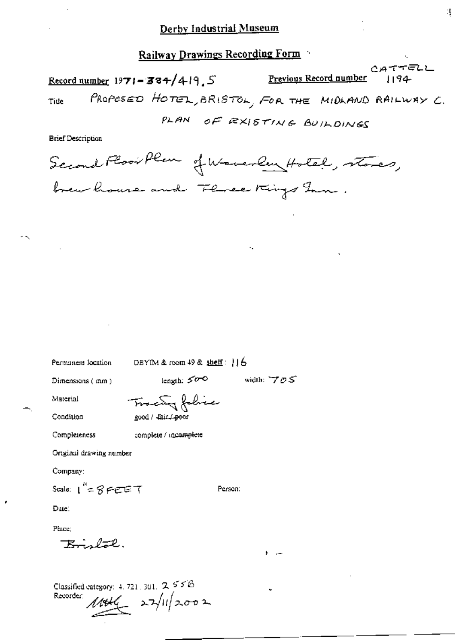CATTELL Previous Record number Record number 1971-384/419, 5 1194 PROPOSED HOTEL, BRISTOL, FOR THE MIDLAND RAILWAY C. Tide PLAN OF RXISTING BUILDINGS

**Brief Description** 

Second Plan Humanley Hotel, stores, brew house and Flores Kings Inn.

Permanent location

DBYIM & room 49 & shelf:  $116$ 

Dimensions (mm)

length:  $500$ 

width:  $705$ 

Person:

Material Condition Tracing fabric good / Eair./ poor

complete / incomplete

Original drawing number

Company:

Completeness

Scale:  $1^{n} = 8$  FEET

Dute:

Place:

Konglot,

Classified category: 4, 721, 301,  $2.55B$ Recorder  $11446 - 27/11/2002$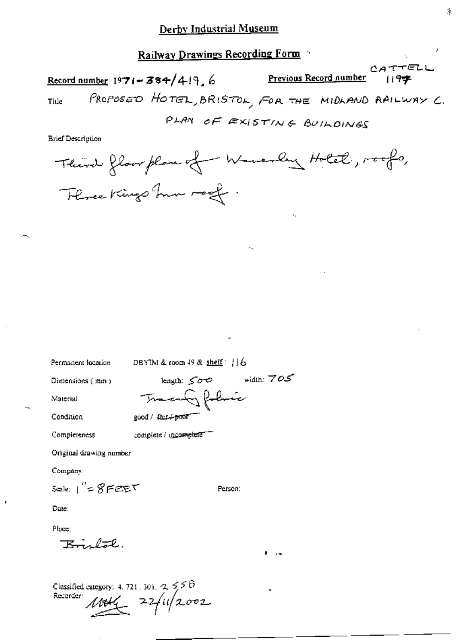CATTELL Previous Record number Record number  $1971 - 384/419$ , 6 119字 PROPOSED HOTEL, BRISTOL, FOR THE MIDLAND RAILWAY C. Title PLAN OF EXISTING BUILDINGS

**Brief Description** 

Permanent location

DBYIM & room 49 & shelf:  $16$ 

Dimensions (mm)

width:  $705$ leagth:  $\leq$   $\sigma$ Transfilinic

Person:

Material Condition

Completeness

complete / mcomplete

good / fair / poor

Original drawing number

Company:

Scale:  $1'' = 8$ FEET

Date:

Place:

K., bal

Classified category: 4.721.301. 2.558<br>Recorder:  $M44 = 2.2/11/2.002$ 

 $\mathbf{1}$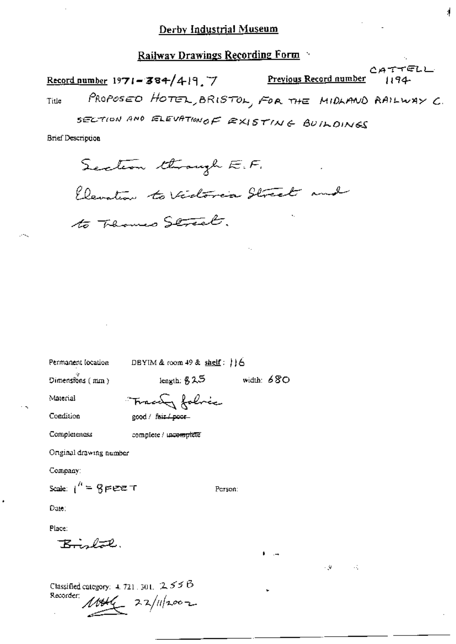#### Railway Drawings Recording Form

CATTELL Preyious Record aumber Record number 1971-384/419.7 1194 PROPOSED HOTEL, BRISTOL, FOR THE MIDLAND RAILWAY C. Title

4

SECTION AND ELEVATION OF EXISTING BUILDINGS

**Brief Description** 

Section through E.F. Elevation to Vidoria Street and to Thomas Street.

Permanent location DBYIM & room 49 & shelf: 116

Dimensions  $(mn)$ 

leagth:  $825$ 

Person:

width:  $680$ 

- 90

 $\mathcal{A}_\mathrm{A}$ 

Material

Condition

Tracery foloce good / fair / poor

Completeness

complete / uncomplete

Original drawing number

Company:

Scale:  $1^h = 9$  pee T

Date:

Place:

 $R_{\text{total}}$ 

Classified category: 4, 721, 301,  $255B$ Recorder;  $10046 - 22/112002$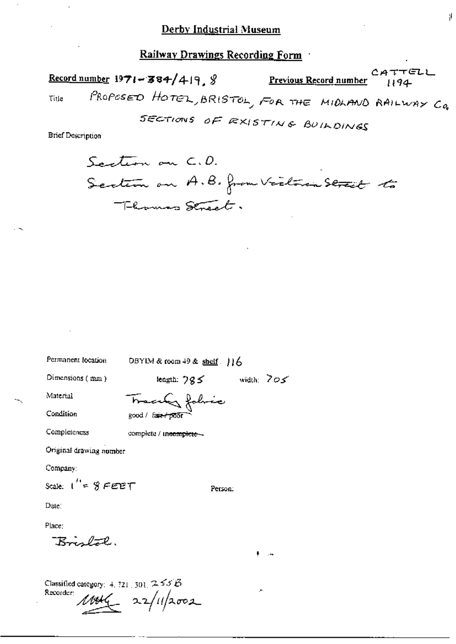でてピレレ Previous Record number Record number  $1971 - 384/419$ ,  $\frac{9}{2}$ PROPOSED HOTEL, BRISTOL, FOR THE MIDLAND RAILWAY CO. Title

SECTIONS OF RXISTING BUILDINGS

**Brief Description** 

Santion on C.D. Section on A.B. from Victoria Street to Thomas Street.

Permanent location DBYIM & room 49 & shelf.  $16$ Dimensions (mm) length:  $795$  width:  $705$ Material Tracely folice Condition good / fair poor Completeness complete / incomplete -Original drawing number Company: Scale:  $1'' = 8$  FEET Person: Date: Place: Bristal.

Classified category:  $4.721, 301, 2.55B$ Recorder:  $1004 - 22/112002$ 

Ŋ.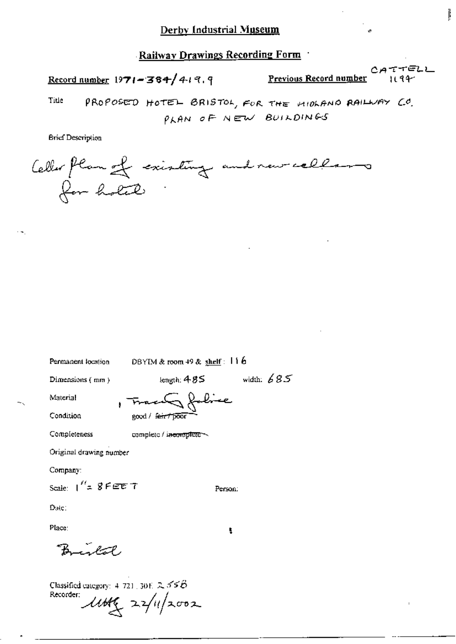Record number  $1971 - 384 / 419.9$ 

Previous Record number 1194 ₿

CATTELL

Title PROPOSED HOTEL BRISTOL, FOR THE MIDLAND RAILWAY CO. PLAN OF NEW BUILDINGS

**Brief Description** 

Celler flan of existing and new callars for holed

Permanent location

DBYIM & room 49 & shelf: 11 6

width:  $685$ 

Person:

Ł

Dimensions (mm)

length:  $485$ 

Material

, Tracu & folice

Condition

good / fair / poor

Completeness complete / incoroplete ~

Original drawing number

Company:

Scale:  $1''$ = 8 FEE T

Date:

Place:

رحية

Classified category: 4-721, 30E 2, 55 $B$ Recorder:  $\mu$ ttt $\zeta$  22/11/2002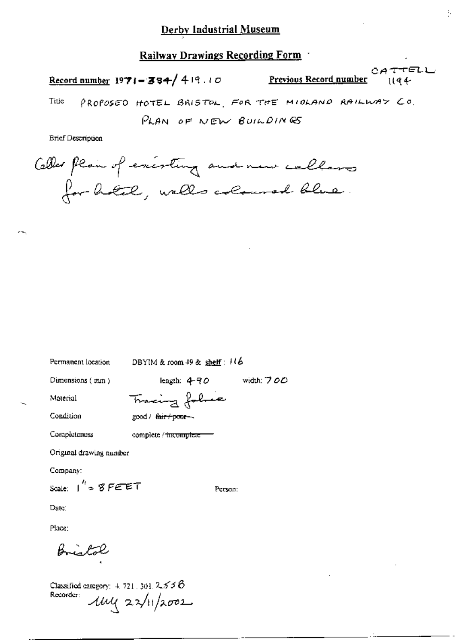Record number 1971-384/419.10

Previous Record number  $1194$  Ŷ.

CATTELL

PROPOSED HOTEL BRISTOL, FOR THE MICLAND RAILWAY CO. Title PLAN OF NEW BUILDINGS

**Brief Description** 

Celler plain of exercting and new callars for hotel, walls coloured blue.

Permanent location

DBYIM & room  $49$  & shelf :  $116$ 

width: 700

Person:

Dimensions (mm)

iength:  $4 - 90$ 

Material

Tracing folie good / fair+poor-

complete / incomplete

Condition

Completeness

Original drawing number

Company:

Scale:  $1^{h}$  = 8 FEET

Date:

Place:

Classified category:  $4.721.301.2556$ Recorder:  $\mu$  $\mu$   $\alpha$  $\gamma$  $\mu$ /2002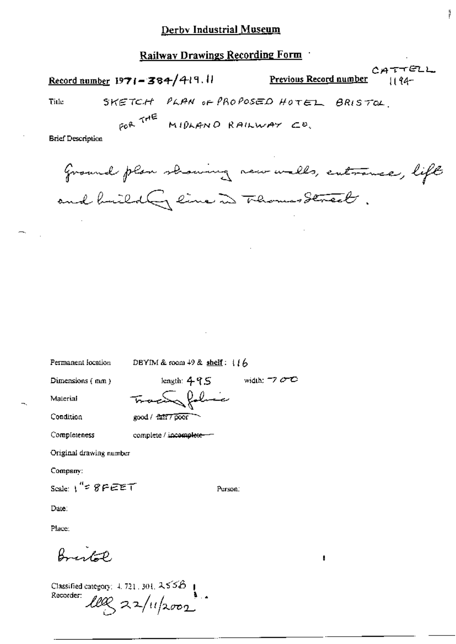CATTELL Record number 1971-384/419.11 Previous Record number  $1194 -$ 

ļį.

SKETCH PLAN OF PROPOSED HOTEL BRISTOL. Title

FOR THE MIDLAND RAILWAY CO.

**Brief Description** 

ground plan showing new walls, entrance, lift and buildly line in Thomas Street.

width:  $\neg$   $\sigma$   $\sigma$ 

Person:

Permanent location

DBYIM & room  $49$  & shelf:  $116$ 

Dimensions (mm)

length:  $495$ Tracing foliace good / fair7poor

Condition

Material

Completeness complete / incomplete-

Original drawing number

Company:

Scale:  $1^{4}$  =  $8$   $F$   $E$   $E$   $T$ 

Date:

Place:

 $\beta$ 

Classified category:  $4, 721, 301, 2556$ Recorder:  $\text{Lex}_{2}$  22/11/2002

 $\begin{matrix} \textbf{I} & \textbf{I} & \textbf{I} & \textbf{I} & \textbf{I} & \textbf{I} & \textbf{I} & \textbf{I} & \textbf{I} & \textbf{I} & \textbf{I} & \textbf{I} & \textbf{I} & \textbf{I} & \textbf{I} & \textbf{I} & \textbf{I} & \textbf{I} & \textbf{I} & \textbf{I} & \textbf{I} & \textbf{I} & \textbf{I} & \textbf{I} & \textbf{I} & \textbf{I} & \textbf{I} & \textbf{I} & \textbf{I} & \textbf{I} & \textbf{I$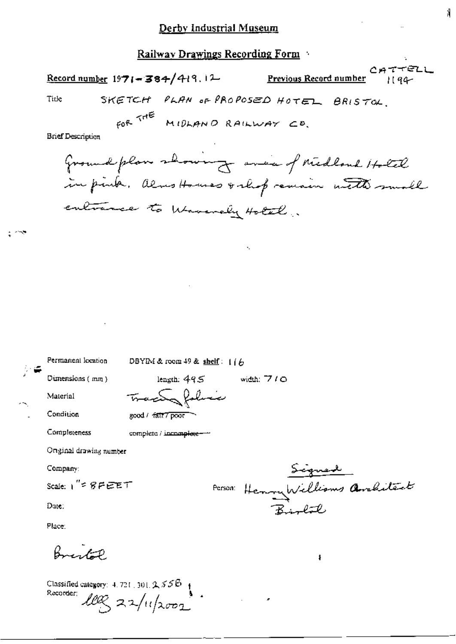|      | Record number $1971 - 384/419.12$ | <u>Previous Record number</u>         | $C$ ATTELL<br>1194 |
|------|-----------------------------------|---------------------------------------|--------------------|
| Tide |                                   | SKETCH PLAN OF PROPOSED HOTEL BRISTOL |                    |

FOR THE MIDLAND RAILWAY CD.

**Brief Description** 

Ground plan showing avec of Midland Hotel in pink. almostomes valup remain with small entrance to Waverely Hotel.

۰.

width:  $7/0$ 

Permanent location DBYIM & room 49 & shelf:  $1/6$ 

Dimensions (mm)

Material

Condition

good / fatt7poor

complete / incomplete --

length:  $495$ 

Tractor folice

Completeness

Original drawing number

Company:

Scale:  $1'' \leq 8$  F EET

Date:

Place:

Break

Classified category:  $4.721, 301, 2, 555 +$ Recorder:  $100221/112002$ 

Signed<br>Person: Henry Williams Architect

ł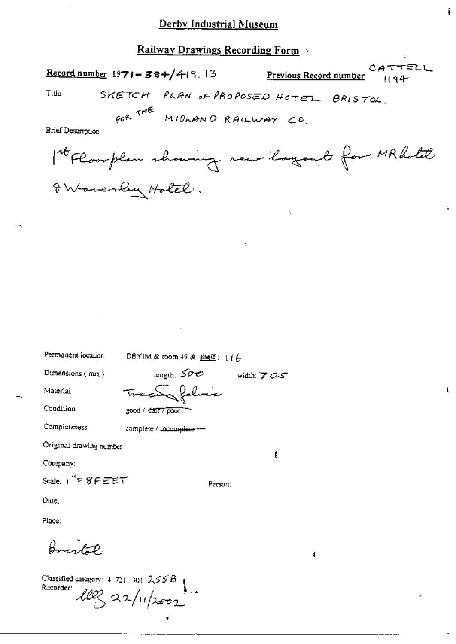ł

 $\mathbf{k}$ 

## Railway Drawings Recording Form

| Record number $1971 - 384/419$ , 13                                                                                                                                        | CATTELL<br>Previous Record number<br>$1194 -$ |
|----------------------------------------------------------------------------------------------------------------------------------------------------------------------------|-----------------------------------------------|
| Title:<br>SKETCH PLAN OF PROPOSED HOTEL BRISTOL.                                                                                                                           |                                               |
| FOR THE MIDLAND RAILWAY CO.<br><b>Brief Description</b>                                                                                                                    |                                               |
| Int Floorplan showing new layout for MRhotel                                                                                                                               |                                               |
| I Woverly Hold.                                                                                                                                                            |                                               |
| ta 10                                                                                                                                                                      |                                               |
|                                                                                                                                                                            |                                               |
| <b>Contractor</b>                                                                                                                                                          |                                               |
|                                                                                                                                                                            |                                               |
|                                                                                                                                                                            |                                               |
| <b>Contract Contract</b>                                                                                                                                                   |                                               |
| <b>Contractor</b>                                                                                                                                                          |                                               |
| Permanent location<br>DBYIM & room 49 & shelf: $1/6$                                                                                                                       |                                               |
| Dimensions $(mn)$<br>$\begin{array}{ccc} \text{length:} & \mathcal{S}\mathcal{O}\bullet\mathcal{O} & \text{width:} & \mathcal{S}\mathcal{O}\bullet\mathcal{S} \end{array}$ |                                               |
| <del>tracty folic</del> e<br>Material                                                                                                                                      |                                               |
| Condition<br>good / fall? poor                                                                                                                                             |                                               |
| Completeness<br>complete / incomplete --                                                                                                                                   |                                               |
| Original drawing number                                                                                                                                                    |                                               |
| Ů<br>Company:                                                                                                                                                              |                                               |
| Scale: 1"= 8 FEET<br>Person:                                                                                                                                               |                                               |
| Date.                                                                                                                                                                      |                                               |
| Place:                                                                                                                                                                     |                                               |

 $\ddot{\phantom{a}}$ 

Bristol

Classified category: 4, 721, 301, 2,55B<br>Recorder:  $\mathcal{L}\mathcal{L}\mathcal{C}$  2, 2, 11/2002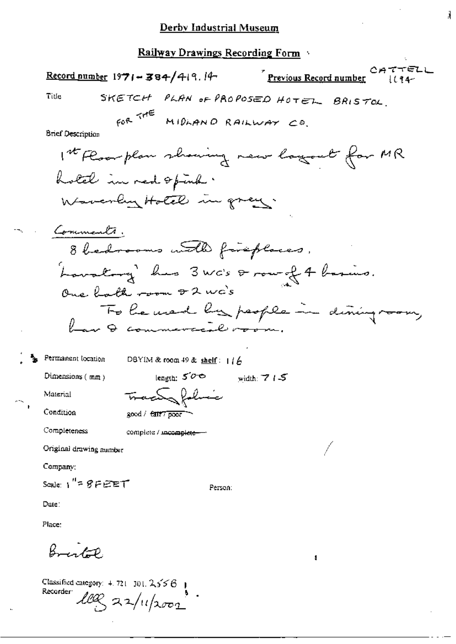こみててピレレ  $\frac{\text{Record number}}{1971 - \text{384}}$ /419.14 Previous Record number SKETCH PLAN OF PROPOSED HOTEL BRISTOL. Title COR THE MIDLAND RAILWAY CO. **Brief Description** 1st Floor plan showing new logout for MR hold in red opina. Waverly Hotel in grey. Comments, 8 bedrooms with fireplaces. Lowatory has 3 was a row of 4 basics. One hath room + 2 wc's To be used by people in dising ro have commenced room. Permanent location DBYIM & room 49 & shelf:  $1/6$ Dimensions (mm) length:  $5^{\circ}$ width:  $715$ Tractor folice Material Condition good / fatt7 poor Completeness complete / incomplete-Original drawing number Company; Scale:  $1'' = 8$ FEET Person: Date: Place:  $\beta$ 

Classified category:  $4.721 - 301$ ,  $2.556$  | Recorder leg 22/11/2002 j,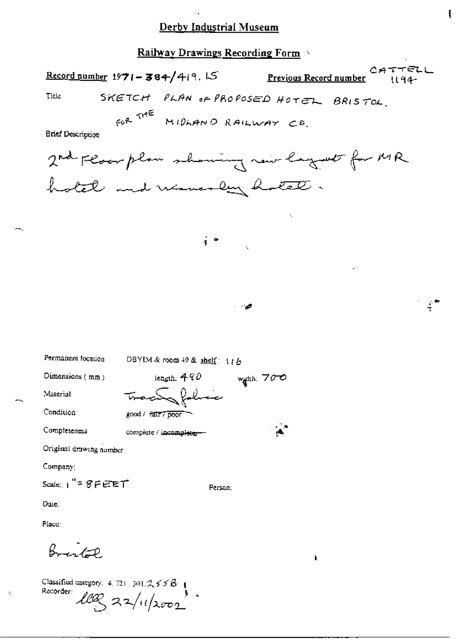Railway Drawings Recording Form

CATTELL Record number 1971-384/419.15 Previous Record number 1194 SKETCH PLAN OF PROPOSED HOTEL BRISTOL. Title GOR THE MIDLAND RAILWAY CO. **Brief Description** 2nd Floor plan showing now layest for MR hotel and waverly hotel.  $\frac{1}{2}$ - 9 Permanent location DBYIM & room 49 & shelf: 116 Dimensions (mm) length:  $490$ width:  $700$ actor fabric Material ℡ Condition good / fair7 poor Completeness complete / incomplete --Original drawing number Company: Scale:  $1'' = 8FEET$ Person: Date: Place:  $\beta$ f

Classified category: 4, 721, 301,  $2, 35B$  | Recorder  $LClQ \approx 2\sqrt{11/2002}$ 

 $\bar{\mathcal{L}}$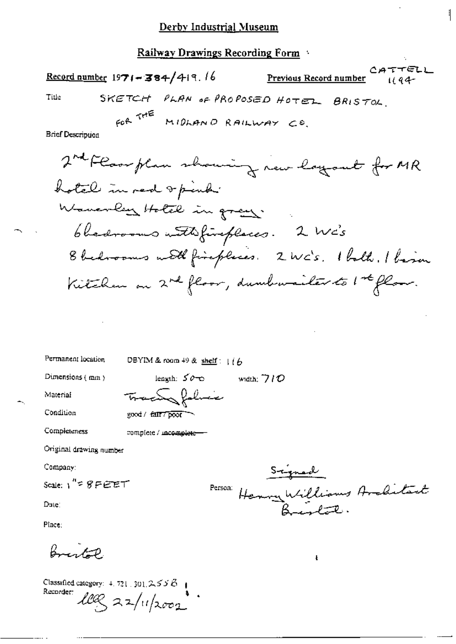CATTELL Previous Record number Record number  $1971 - 384/419.16$  $1194 -$ SKETCH PLAN OF PROPOSED HOTEL BRISTOL. Title

FOR THE MIDLAND RAILWAY CO.

**Brief Description** 

Permanent location

DBYIM & room 49 & shelf:  $1/6$ 

Dimensions (mm)

leagth:  $50 - 6$  width:  $710$ 

Material

Condition

Completeness

complete / incomplete-

good / fall? poor

Tracty folice

Original drawing number

Company:

 $Scale: V^{\prime\prime} \subseteq S \subseteq E \subseteq T$ 

Dute:

Place:

Bristo

Classified category:  $4.721 \cdot 301.25556 +$ Recorder:  $\log 22/u/10001$ 

Signal<br>Person: Henny Williams Anditart

 $\pmb{\mathbf{t}}$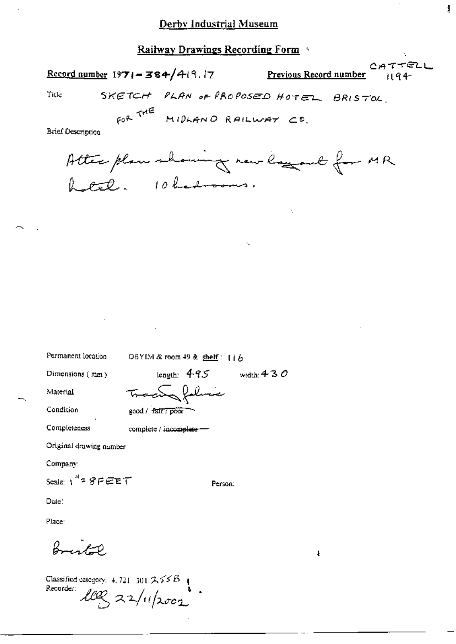|       | Record number $1971 - 384/419.17$     |  | <b>Previous Record number</b> $\vert \vert q \vert$ | . C # 1 7 5 L L. |
|-------|---------------------------------------|--|-----------------------------------------------------|------------------|
| Title | SKETCH PLAN OF PROPOSED HOTEL BRISTOL |  |                                                     |                  |

1

FOR THE MIDLAND RAILWAY CO.

**Brief Description** 

Atter plan showing now logged for MR

Permanent location

OBYIM & room 49 & shelf: 116

Dimensions  $(mn)$ 

length:  $495$ <del>tracta folic</del>e

Condition

Material

good / fair / poor

Completeness complete / incomplete -

Original drawing number

Company:

Scale:  $1''$  =  $8$   $F$   $E$   $E$   $T$ 

Person:

width:  $430$ 

Date:

Place:

Brist P.

Classified category:  $4.721$ ,  $301.7556$ . Recorder:  $log z_1/(1/2002)$  ł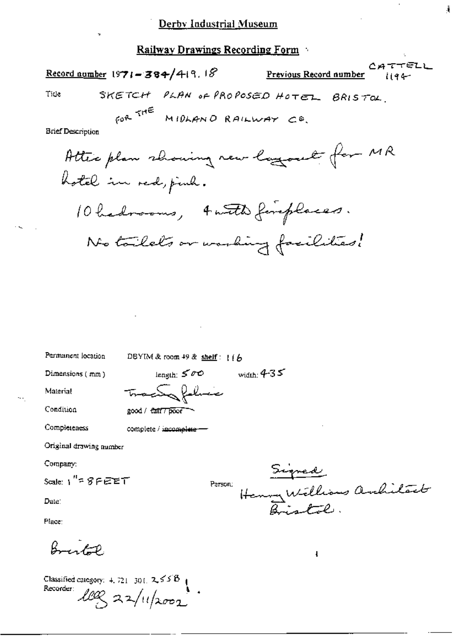|                          | Record number 1971 - 384/419.18        |                             |  | . <u>.</u><br>Previous Record number $i_1 q_4$ |  |
|--------------------------|----------------------------------------|-----------------------------|--|------------------------------------------------|--|
| Tide                     | SKETCH PLAN OF PROPOSED HOTEL BRISTOL. |                             |  |                                                |  |
|                          |                                        | FOR THE MIDLAND RAILWAY CO. |  |                                                |  |
| <b>Brief Description</b> |                                        |                             |  | $\sim$                                         |  |

Attic plan showing new lagrout for MR hotel in red, find. 10 hadrooms, 4 with fireplaces. No tailets or working facilities!

width:  $4-35$ 

Permanent location

DBYIM & room 49 & shelf:  $16$ 

Dimensions (mm)

length:  $500$ Tractor folice

Condition

Completeness

Material

good / fatt7 poor complete / incomplete -

Original drawing number

Company:

Scale:  $1'' = 8$ FEET

Date:

Place:

 $\beta$ 

**Classified category:** 4, 721–301,  $2.55B$  **1** Recorder leg 22/11/2002

Signed<br>Henry Williams andilact Person:

ł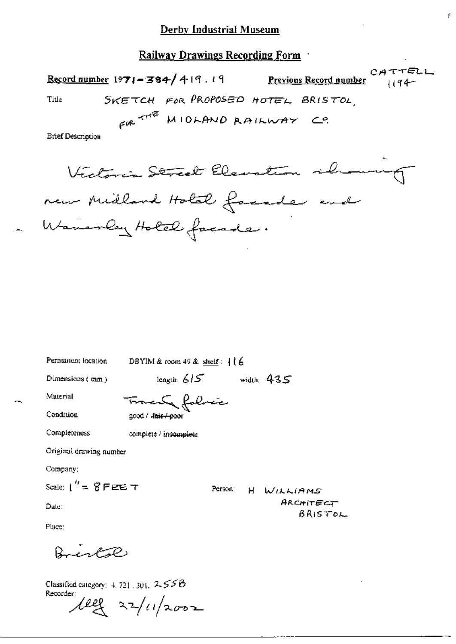TELL Record number 1971-384/419.19 Previous Record number SKETCH FOR PROPOSED HOTEL BRISTOL Title

÷,

GOR THE MIDLAND RAILWAY CO.

**Brief Description** 

Victoria Street Elevation release new Midland Holat facade end Wavenley Holel facade.

Permanent location

DBYIM & room 49 & shelf:  $116$ 

Dimensions (mm)

leagth:  $615$ width:  $435$ 

Person:

н

WILLIAMS

ARCHITECT

BRISTOL

Condition

Completeness

Material

Francula folíric 200d / fair / poor

complete / incomplete

Original drawing number

Company:

Scale:  $1'' = 8$  F etc  $\tau$ 

Date:

Place:

Bristol

Classified category:  $4.721$ , 301, 255B Recorder:

 $\ell$ ell 22/11/2002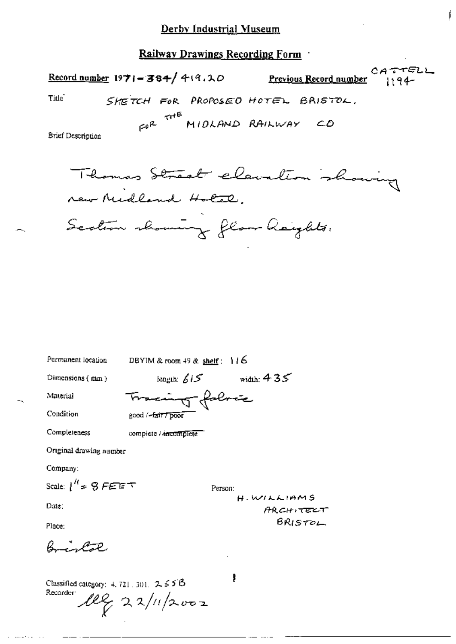CATTELL Record number  $1971 - 384 / 419.10$ Previous Record number 1194-Title<sup>-</sup> SHETCH FOR PROPOSED HOTEL BRISTOL. GOR THE MIDLAND RAILWAY CD **Brief Description** Thomas Street elevation show new Midland Hotel.

Permanent location DBYIM & room 49 & shelf:  $116$ length;  $615$  width;  $435$ Dimensions  $(mn)$ Tracing fabric Material Condition good / fair / poor Completeness complete / ancomplete Original drawing number Company: Scale:  $1^H = 9$  FEET Person: **H. WILLIAMS** Date: **ARCHITECT BRISTOL** Place:  $B = AB$ , Classified category:  $4, 721, 301, 2, 55B$ Recorder:  $10\%$  22/11/2002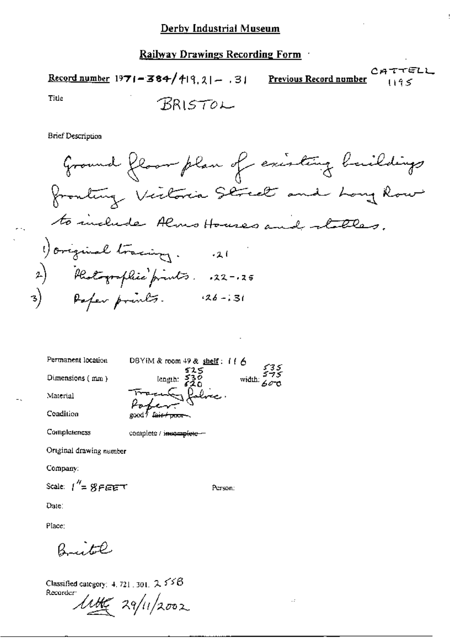CATTELL Record number  $1971 - 384/419$ ,  $21 - 31$  Previous Record number  $1195$ 

Ţ

Title

**Brief Description** 

Ground Roman plan of existing building  
ឧ with a 10000 for the image. \n
$$
\begin{array}{r}\n\text{for all } x \text{ is the same number of times, and } x \text{ is the same number of times, and } x \text{ is the same number of times.}\n\end{array}
$$
\n
$$
\begin{array}{r}\n\text{for initial fractions: } x_1 = 1 \\
\text{for the number of times, } x_2 = 1, 15 \\
\text{for the number of times, } x_3 = 1, 31\n\end{array}
$$

Person:

 $\cdot$ 

complete / incomplete -

Original drawing number

Company:

Scale:  $1'' = 8FET$ 

Date:

Place:

Brite

Classified category: 4, 721, 301,  $2.558$ Recorder:

 $\mu_{\mathscr{L}}$  29/11/2002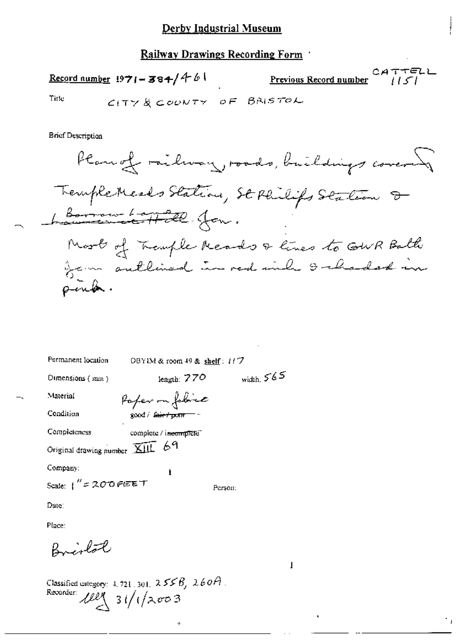Record number 1971-384/461

 $CATETELL$ Previous Record number

Title

**Brief Description** 

Plan of railway, roads, buildings covered Tremple Meals Station, St Philips Station & Lomon Londe Jon. Most of Transle Reads & lines to GWR Balti from sullined in red inh I charded in pin**b**.

| Permanent location              | DBYIM & room $49$ & shelf: $117$ |              |
|---------------------------------|----------------------------------|--------------|
| $O$ imensions $(mn)$            | length: $770$                    | width, $565$ |
| Material                        | Poper on folloise                |              |
| Condition                       | good / fair f point              |              |
| Completeness                    | complete / incomplete"           |              |
| Original drawing number XIII 69 |                                  |              |
| Company:                        | ŧ                                |              |
| Scale: $1''$ = 200 FEET         |                                  | Person:      |
| Date:                           |                                  |              |
| Place:                          |                                  |              |

÷

Bristol

Classified category:  $4, 721, 301, 255B, 260A$ . Recorder  $ell$  3 $i/(2003)$ 

1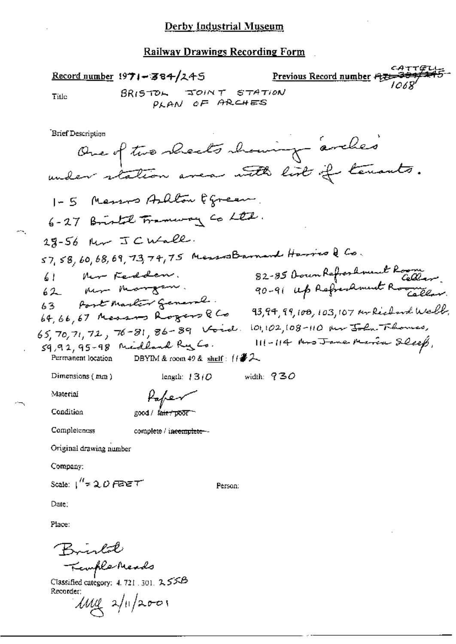Record number  $1971 - 384/245$ Previous Record number 丹罗 BRISTOL JOINT STATION Title PLAN OF ARCHES Brief Description One of two shocks showing arches 1-5 Messos Ashlow Egreen 6-27 Bristol Traneway Co Ltd. 28-56 Mr JCWall.  $57, 58, 60, 68, 69, 73, 74, 75$  Messon Barnard Harriso & Co. 82-85 Down Refreshment Room.<br>90-91 up Refreshment Rome New Feddem.  $\frac{1}{2}$ ner margan.  $62$ 63 Post Martin General.  $93,94,99,108,103,107$  mokicland Well. 64,66,67 Messons Rogers & Co 65, 70, 71, 72, 76-81, 86-89 Void. 101, 102, 108-110 au John Flores, 111-114 Mrs Jane Maria Sleep, 59,92,95-98 Midland Ry Co. DBYIM & room 49 & shelf:  $\frac{17}{2}$ Permanent location Dimensions  $(mn)$ length:  $1310$ width:  $930$ Material Paper Condition good / fair / poor Completeness complete / incomplete --Original drawing number Company: Scale:  $1''$  = 2,  $D$  FERE T Person: Date: Place: Brintal Kemple Meads Classified category: 4, 721, 301,  $2.55B$ Recorder:  $\mu$ uq  $2/\sqrt{200}$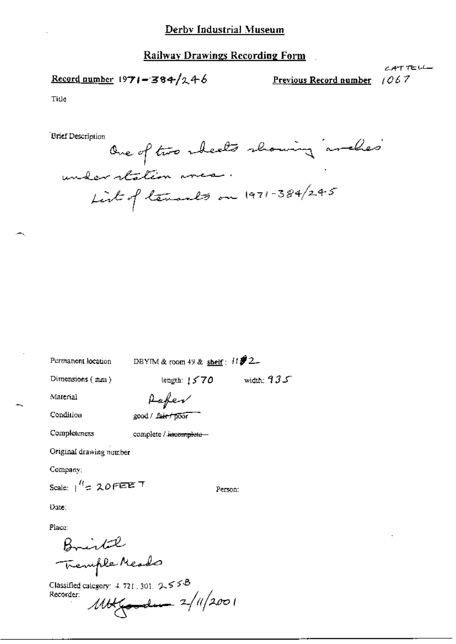### Record number 1971-384/246

 $1067$ Previous Record number

CATTELL

Title

**Brief Description** 

One of two sheets showing arches understation area. List of tenants on 1971-384/245

Permanent location

DBYIM & room 49 & shelf:  $H\mathbf{\hat{Z}}2$ 

Dimensions (mm)

length:  $1570$  width:  $935$ 

Material

Condition

Aafer good / fair / poor

Completeness

complete / incomplete-

Original drawing number

Company:

Scale:  $1^{H}$  = 20 FEE T

Person:

Date:

Place:

Bristal Tremple Meado

Classified category: 4, 721, 301, 2, 5 5 B  $1114$  (1/2001 Recorder: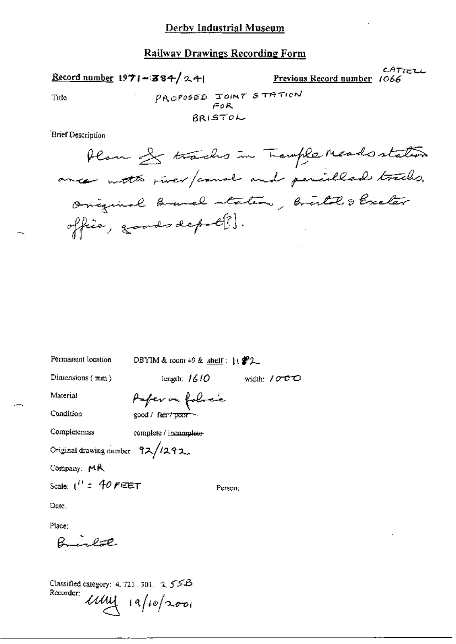CATTELL Record number  $1971 - 384 / 241$ Previous Record number 1066 PROPOSED JOINT STATION Title  $F \circ R$ BRISTOL Brief Description Plan of tracks in Trample Meadostation ance with river/cause and pencilled tracks. Oniquial branch staten, bristol & Exclar office, goods depot?).

Permanent location DBYIM & room  $+9$  & shelf:  $($   $\mathscr{L}_2$ length;  $1610$ Dimensions (mm) width: / $\sigma$   $\sigma$   $\sigma$ Material Paper on follock Condition  $good /$  fair  $/$  poor  $\sim$ Completeness complete / incomplete-Original drawing number 92/1292 Scale:  $1'' = 40$  FEET Person: Brinlac Classified category: 4, 721, 301, 2, 55B

Company: MR

Date.

Place:

Recorder:  $uuu$  ia/10/2001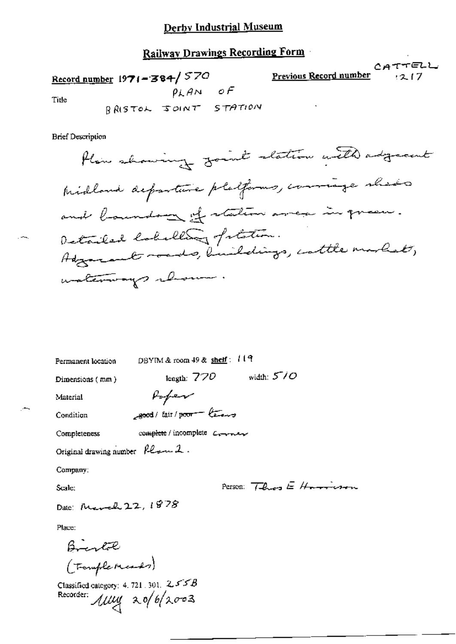# Railway Drawings Recording Form

CATTELL

<u>teration</u>

 $217$ 

Record number 1971 = 384/570<br>Title  $\rho_k A_N = \sigma F$ Previous Record number Title

BRISTOL SOINT STATION

**Brief Description** 

| Permanent location              | DBYIM & room $49$ & shelf: $119$ |  |
|---------------------------------|----------------------------------|--|
| Dimensions (mm)                 | width: $570$<br>leagth: $770$    |  |
| Material                        | Poper                            |  |
| Condition                       | good/fair/poor - less            |  |
| Completeness                    | complete / incomplete Converter  |  |
| Original drawing number Planel. |                                  |  |
| Company:                        |                                  |  |
| Scale:                          | Person: $7 - 2 - 5 = 11$         |  |

Date: March 22, 1878

Place:

Maco:<br>  $\beta$  remplements)<br>
(Templements)<br>
Classified calegory: 4.721.301.255B<br>
Recorder:  $\mu\mu$  20/6/2003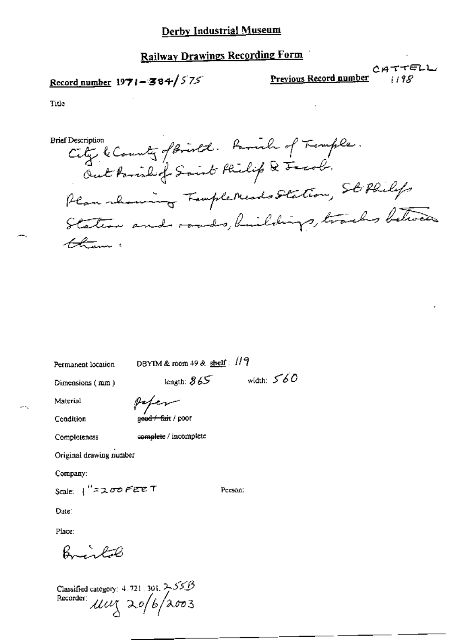## **Railway Drawings Recording Form**

## Record number  $1971 - 384 / 575$

Previous Record number

 $CATTELL$ 

Title

City & County of Bristol. Ramil of Temple. **Brief Description** Out Parish of Saint Philip & Freah. Plan rhowing TompleMeads Station, Sto Philips Station and roads, buildings, tracks between tham :

width:  $560$ 

Person:

Permanent location

DBYIM & room 49 & shelf:  $119$ 

Dimensions (mm)

length:  $865$ paper

Condition

Material

g<del>ead / fai</del>t / poot

Completeness

complete / incomplete

Original drawing number

Company:

Scale:  $1''$ = 200 FEET

Date:

Place:

Baratol

Classified category: 4, 721, 301,  $2.55B$ Recorder: Muy 20/6/2003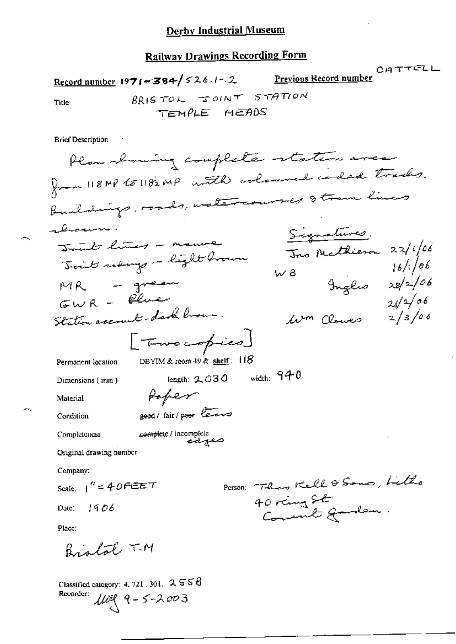CATTELL CATTELL Record number 1971-384/526.1-2 Previous Record number BRISTOL JOINT STATION

Title

TEMPLE MEADS

**Brief Description** 

 $\sim$   $\sim$ 

Classified category: 4, 721, 301,  $2 \leq 8$  $1109$  9 - 5 - 2003 Recorder: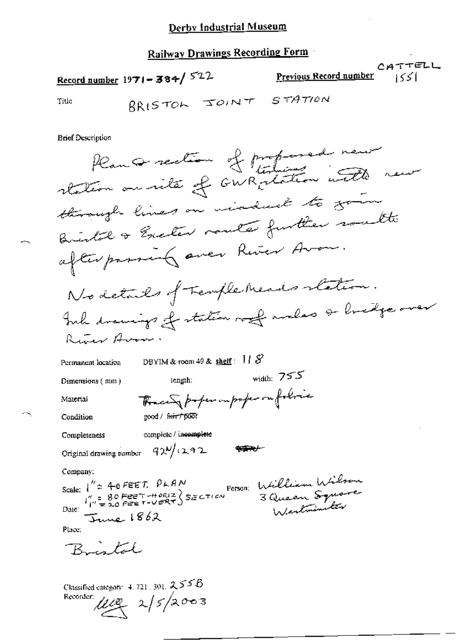CATTELL Record number  $1971 - 384 / 522$ Previous Record number 1551 BRISTON JOINT STATION

**Brief Description** 

Title

Plan a rection of professed new through lines on violent to going Britel & Exclus route further south afterpassing aver River Avon. No details of Temple Meads station. Inh drawings of station roof anders & bridge over Russer Avon DBYIM & room 49 & shelf:  $118$ Permanent location width:  $755$ length: Dimensions (mm) The city proper imporper on folice Material good / fair / poor Condition complete / incomplete Completeness Original drawing number  $-72$ <sup>N</sup>/ $+2.92$ Company: Scale:  $1'' = 40$ FEET. PLAN<br>  $P_{\text{reson}}$  William Wilson<br>
Date:  $\frac{1}{1} = 20$ FEET-HORIZ SECTION 3 Queen Square June 1862 Place: Bristal

Classified category 4, 721, 301, 255B Recorder  $\mu_{\ell} = 2/5/2003$